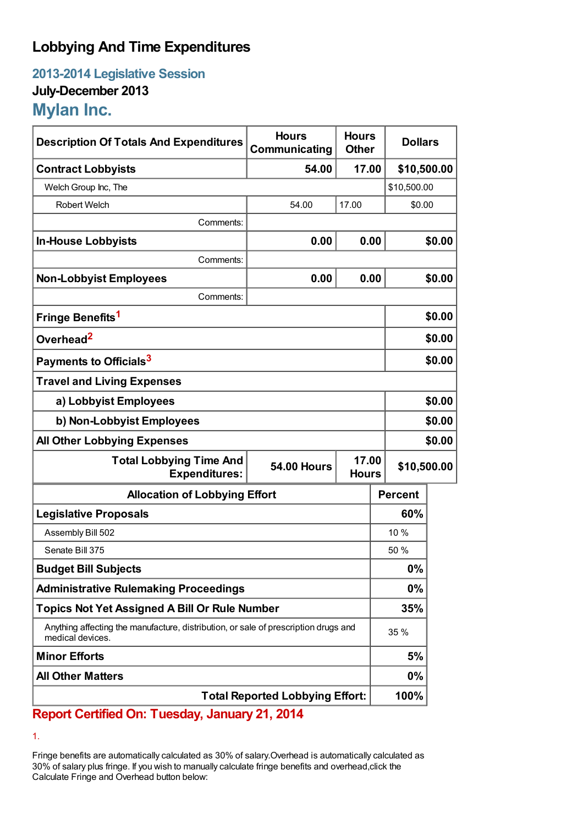## **Lobbying And Time Expenditures**

**2013-2014 Legislative Session July-December 2013 Mylan Inc.**

| <b>Description Of Totals And Expenditures</b>                                                           | <b>Hours</b><br>Communicating | <b>Hours</b><br><b>Other</b> | <b>Dollars</b> |        |  |
|---------------------------------------------------------------------------------------------------------|-------------------------------|------------------------------|----------------|--------|--|
| <b>Contract Lobbyists</b>                                                                               | 54.00                         | 17.00                        | \$10,500.00    |        |  |
| Welch Group Inc, The                                                                                    |                               |                              | \$10,500.00    |        |  |
| Robert Welch                                                                                            | 54.00                         | 17.00                        | \$0.00         |        |  |
| Comments:                                                                                               |                               |                              |                |        |  |
| <b>In-House Lobbyists</b>                                                                               | 0.00                          | 0.00                         |                | \$0.00 |  |
| Comments:                                                                                               |                               |                              |                |        |  |
| <b>Non-Lobbyist Employees</b>                                                                           | 0.00                          | 0.00                         |                | \$0.00 |  |
| Comments:                                                                                               |                               |                              |                |        |  |
| Fringe Benefits <sup>1</sup>                                                                            |                               |                              | \$0.00         |        |  |
| Overhead <sup>2</sup>                                                                                   |                               |                              | \$0.00         |        |  |
| Payments to Officials <sup>3</sup>                                                                      |                               |                              |                | \$0.00 |  |
| <b>Travel and Living Expenses</b>                                                                       |                               |                              |                |        |  |
| a) Lobbyist Employees                                                                                   |                               |                              |                | \$0.00 |  |
| b) Non-Lobbyist Employees                                                                               |                               |                              |                | \$0.00 |  |
| <b>All Other Lobbying Expenses</b>                                                                      |                               |                              |                | \$0.00 |  |
| <b>Total Lobbying Time And</b><br><b>Expenditures:</b>                                                  | <b>54.00 Hours</b>            | 17.00<br><b>Hours</b>        | \$10,500.00    |        |  |
| <b>Allocation of Lobbying Effort</b>                                                                    |                               |                              | <b>Percent</b> |        |  |
| <b>Legislative Proposals</b>                                                                            |                               |                              | 60%            |        |  |
| Assembly Bill 502                                                                                       |                               |                              | 10 %           |        |  |
| Senate Bill 375                                                                                         |                               |                              | 50 %           |        |  |
| <b>Budget Bill Subjects</b>                                                                             |                               |                              | 0%             |        |  |
| <b>Administrative Rulemaking Proceedings</b>                                                            |                               |                              | 0%             |        |  |
| <b>Topics Not Yet Assigned A Bill Or Rule Number</b>                                                    |                               |                              | 35%            |        |  |
| Anything affecting the manufacture, distribution, or sale of prescription drugs and<br>medical devices. |                               |                              | 35 %           |        |  |
| <b>Minor Efforts</b>                                                                                    |                               |                              | 5%             |        |  |
| <b>All Other Matters</b>                                                                                |                               |                              | 0%             |        |  |
| <b>Total Reported Lobbying Effort:</b>                                                                  |                               |                              | 100%           |        |  |

## **Report Certified On: Tuesday, January 21, 2014**

1.

Fringe benefits are automatically calculated as 30% of salary.Overhead is automatically calculated as 30% of salary plus fringe. If you wish to manually calculate fringe benefits and overhead,click the Calculate Fringe and Overhead button below: